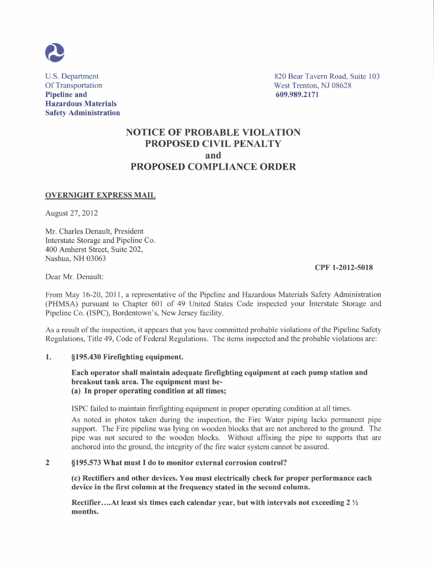

Pipeline and 609.989.2171 Hazardous Materials Safety Administration

U.S. Department 820 Bear Tavern Road, Suite 103<br>Of Transportation West Trenton, NJ 08628 Of Transportation<br> **Pipeline and**<br> **Pipeline and**<br> **Of Transportation**<br> **Of Transportation**<br> **Of Transportation**<br> **Of Transportation**<br> **Of Transportation**<br> **Of Transportation**<br> **Of Transportation**<br> **Of Transportation**<br> **Of** 

# NOTICE OF PROBABLE VIOLATION PROPOSED CIVIL PENALTY and PROPOSED COMPLIANCE ORDER

### OVERNIGHT EXPRESS MAIL

August 27 ,2012

Mr. Charles Denault, President Intcrstate Storage and Pipelinc Co. 400 Amherst Street. Suite 202. Nashua, NH 03063

#### CPF 1-2012-5018

Dear Mr. Denault:

From May 16-20,2011, a representative of the Pipclinc and Hazardous Materials Safety Administration (PHMSA) pursuant to Chapter 601 of 49 United States Code inspected your Interstate Storage and Pipeline Co. (ISPC), Bordentown's, New Jersey facility.

As a result of the inspection, it appears that you have committed probable violations of the Pipeline Safety Regulations, Title 49, Code of Federal Regulations. The items inspected and the probable violations are:

### 1. \$195.430 Firefighting equipment

## Each operator shall maintain adequate firefighting equipment at each pump station and breakout tank area. The equipment must be-(a) In proper operating condition at all times;

ISPC failed to maintain firefighting equipmcnt in proper operating condition at all times.

As noted in photos taken during the inspection, the Fire Water piping lacks permanent pipe support. The Fire pipeline was lying on wooden blocks that are not anchored to the ground. The pipe was not secured to the wooden blocks. Without affixing the pipe to supports that arc anchored into the ground, the integrity of the fire water system cannot be assured.

## 2 S195.573 What must I do to monitor external corrosion control?

(c) Rectifiers and other devices. You must electrically check for proper performance each device in the first column at the frequency stated in the second column.

Rectifier....At least six times each calendar year, but with intervals not exceeding  $2\frac{1}{2}$ months.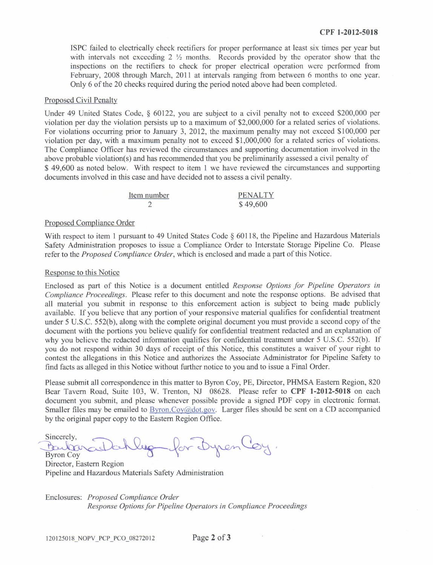ISPC failed to clectrically check rectifiers for proper performance at least six times per year but with intervals not exceeding 2  $\frac{1}{2}$  months. Records provided by the operator show that the inspections on the rectifiers to check for proper electrical operation were performed from February, 2008 through March, 2011 at intervals ranging from between 6 months to one year. Only 6 of the 20 checks required during the period noted above had been completed.

#### Proposed Civil Penalty

Under 49 United States Code,  $\S$  60122, you are subject to a civil penalty not to exceed \$200,000 per violation per day the violation persists up to a maximum of \$2,000,000 for a related scrics of violations. For violations occurring prior to January 3, 2012, the maximum penalty may not exceed \$100,000 per violation per day, with a maximum penalty not to exceed \$1,000,000 for a related series of violations. Thc Compliancc Offrcer has reviewcd the circumstances and supporting documentation involved in the above probable violation(s) and has recommended that you be preliminarily assessed a civil penalty of \$49,600 as noted below. With respect to item 1 we have reviewed the circumstances and supporting documents involved in this case and have decided not to assess a civil penalty.

| Item number | <b>PENALTY</b> |
|-------------|----------------|
|             | \$49,600       |

#### Proposed Compliance Order

With respect to item 1 pursuant to 49 United States Code  $\S$  60118, the Pipeline and Hazardous Materials Safety Administration proposes to issue a Compliance Order to Interstate Storage Pipeline Co. Please refer to the *Proposed Compliance Order*, which is enclosed and made a part of this Notice.

## Response to this Notice

Enclosed as part of this Notice is a document entitled Response Options for Pipeline Operators in Compliance Proceedings. Please refer to this document and note the response options. Be advised that all material you submit in responsc to this enforcement action is subject to being made publicly available. If you believe that any portion of your responsive material qualifies for confidential treatment under 5 U.S.C. 552(b), along with the complete original document you must provide a sccond copy ofthe document with the portions you believe qualify for confidential treatment redacted and an explanation of why you believe the redacted information qualifies for confidential treatment under 5 U.S.C. 552(b). If you do not respond within 30 days of receipt of this Notice, this constitutes a waiver of your right to contcst the allegations in this Notice and authorizcs the Associate Administrator for Pipcline Safety to find facts as alleged in this Notice without firther notice to you and to issue a Final Order.

Please submit all correspondence in this matter to Byron Coy, PE, Director, PHMSA Eastcrn Region, 820 Bear Tavern Road, Suite 103, W. Trenton, NJ 08628. Please refer to CPF 1-2012-5018 on each document you submit, and please whenever possible provide a signed PDF copy in electronic format. Smaller files may be emailed to **Byron.Coy**@dot.gov. Larger files should be sent on a CD accompanied by the original papcr copy to the Eastem Region Officc.

Sincerely,  $\bigcap_{\alpha} \bigcup_{\alpha} \bigcap_{\alpha} \bigcap_{\alpha} \bigcap_{\alpha} \bigcap_{\alpha} \bigcap_{\alpha} \bigcap_{\alpha} \bigcap_{\alpha} \bigcap_{\alpha} \bigcap_{\alpha} \bigcap_{\alpha} \bigcap_{\alpha} \bigcap_{\alpha} \bigcap_{\alpha} \bigcap_{\alpha} \bigcap_{\alpha} \bigcap_{\alpha} \bigcap_{\alpha} \bigcap_{\alpha} \bigcap_{\alpha} \bigcap_{\alpha} \bigcap_{\alpha} \bigcap_{\alpha} \bigcap_{\alpha} \bigcap_{\alpha} \bigcap_{\alpha} \bigcap_{\alpha} \bigcap_{\alpha} \bigcap_{\alpha$ Baubourde Neig for Dyren Coy

Pipeline and Hazardous Materials Safety Administration

Enclosures: Proposed Compliance Order Response Options for Pipeline Operators in Compliance Proceedings